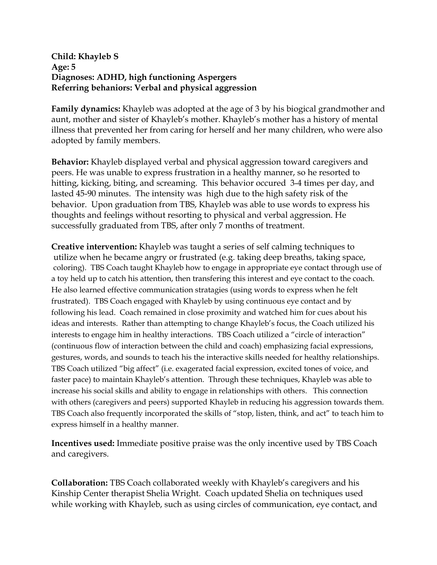## **Child: Khayleb S Age: 5 Diagnoses: ADHD, high functioning Aspergers Referring behaniors: Verbal and physical aggression**

**Family dynamics:** Khayleb was adopted at the age of 3 by his biogical grandmother and aunt, mother and sister of Khayleb's mother. Khayleb's mother has a history of mental illness that prevented her from caring for herself and her many children, who were also adopted by family members.

**Behavior:** Khayleb displayed verbal and physical aggression toward caregivers and peers. He was unable to express frustration in a healthy manner, so he resorted to hitting, kicking, biting, and screaming. This behavior occured 3-4 times per day, and lasted 45-90 minutes. The intensity was high due to the high safety risk of the behavior. Upon graduation from TBS, Khayleb was able to use words to express his thoughts and feelings without resorting to physical and verbal aggression. He successfully graduated from TBS, after only 7 months of treatment.

**Creative intervention:** Khayleb was taught a series of self calming techniques to utilize when he became angry or frustrated (e.g. taking deep breaths, taking space, coloring). TBS Coach taught Khayleb how to engage in appropriate eye contact through use of a toy held up to catch his attention, then transfering this interest and eye contact to the coach. He also learned effective communication stratagies (using words to express when he felt frustrated). TBS Coach engaged with Khayleb by using continuous eye contact and by following his lead. Coach remained in close proximity and watched him for cues about his ideas and interests. Rather than attempting to change Khayleb's focus, the Coach utilized his interests to engage him in healthy interactions. TBS Coach utilized a "circle of interaction" (continuous flow of interaction between the child and coach) emphasizing facial expressions, gestures, words, and sounds to teach his the interactive skills needed for healthy relationships. TBS Coach utilized "big affect" (i.e. exagerated facial expression, excited tones of voice, and faster pace) to maintain Khayleb's attention. Through these techniques, Khayleb was able to increase his social skills and ability to engage in relationships with others. This connection with others (caregivers and peers) supported Khayleb in reducing his aggression towards them. TBS Coach also frequently incorporated the skills of "stop, listen, think, and act" to teach him to express himself in a healthy manner.

**Incentives used:** Immediate positive praise was the only incentive used by TBS Coach and caregivers.

**Collaboration:** TBS Coach collaborated weekly with Khayleb's caregivers and his Kinship Center therapist Shelia Wright. Coach updated Shelia on techniques used while working with Khayleb, such as using circles of communication, eye contact, and